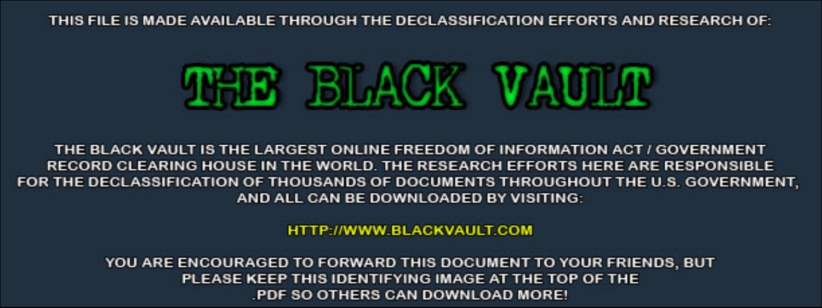THIS FILE IS MADE AVAILABLE THROUGH THE DECLASSIFICATION EFFORTS AND RESEARCH OF:



THE BLACK VAULT IS THE LARGEST ONLINE FREEDOM OF INFORMATION ACT / GOVERNMENT RECORD CLEARING HOUSE IN THE WORLD. THE RESEARCH EFFORTS HERE ARE RESPONSIBLE FOR THE DECLASSIFICATION OF THOUSANDS OF DOCUMENTS THROUGHOUT THE U.S. GOVERNMENT, AND ALL CAN BE DOWNLOADED BY VISITING:

**HTTP://WWW.BLACKVAULT.COM** 

YOU ARE ENCOURAGED TO FORWARD THIS DOCUMENT TO YOUR FRIENDS, BUT PLEASE KEEP THIS IDENTIFYING IMAGE AT THE TOP OF THE PDF SO OTHERS CAN DOWNLOAD MORE!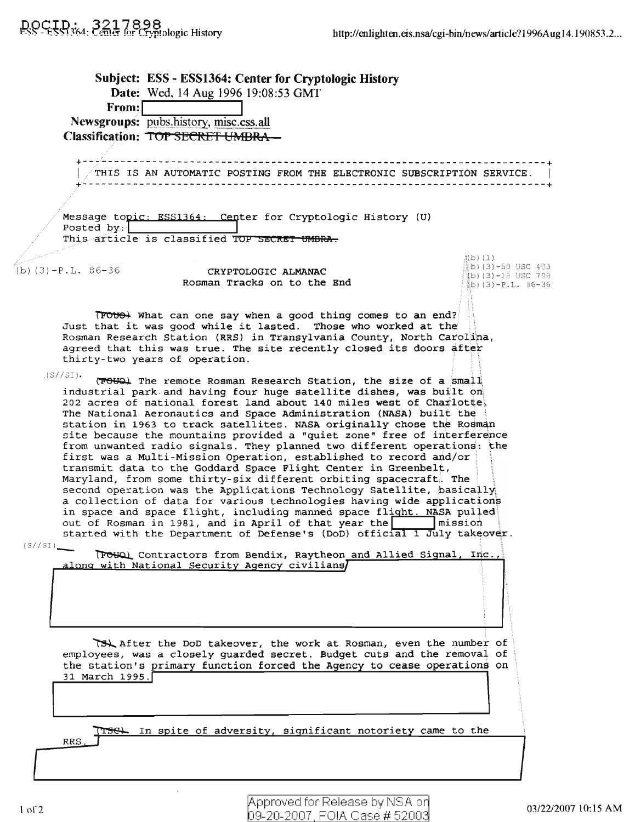Subject: ESS - ESS1364: Center for Cryptologic History Date: Wed, 14 Aug 1996 19:08:53 GMT From:I **I** Newsgroups: pubs.history, misc.ess.all Classification: TOP SECRET UMBRA +--7-----------------------------------------------------------------------+ <sup>I</sup> THIS IS AN AUTOMATIC POSTING FROM THE ELECTRONIC SUBSCRIPTION SERVICE. <sup>I</sup> +--------------------------------------------------------------------------+ Message topic: ESS1364: Center for Cryptologic History (U) Posted by: This article is classified TOP SECRET UMBRA.  $\dot{a}$ (b)  $(1)$  $(b)(3)-50$  USC 403  $(b)$  (3)-P.L. 86-36 **CRYPTOLOGIC ALMANAC** (b) (3)-18 USC 798 Rosman Tracks on to the End  $(b)(3)-P.L. 86-36$  $TPOV\leftrightarrow$  What can one say when a good thing comes to an end? Just that it was good while it lasted. Those who worked at the Rosman Research Station (RRS) in Transylvania County, North carolina, agreed that this was true. The site recently closed its doors after thirty-two years of operation. .  $($ S $/$ /SI). (7000) The remote Rosman Research Station, the size of a small industrial park and having four huge satellite dishes, was built on 202 acres of national forest land about 140 miles west of Charlotte. The National Aeronautics and Space Administration (NASA) built the • station in 1963 to track satellites. NASA originally chose the Rosman site because the mountains provided a "quiet zone" free of interference from unwanted radio signals. They planned two different operations: the first was a Multi-Mission Operation, established to record and/or transmit data to the Goddard Space Flight Center in Greenbelt, transmit data to the Goddard Space Flight Center in Greenbelt,<br>Maryland, from some thirty-six different orbiting spacecraft. The. second operation was the Applications Technology Satellite, basically a collection of data for various technologies having wide applications in space and space flight, including manned space flight. NASA pulled out of Rosman in 1981, and in April of that year the  $\vert$  mission. started with the Department of Defense's (DoD) official 1 July takeover. (S//SI)\_ Contractors from Bendix, Raytheon and Allied Signal, Inc., <u>along with National Security Agency civilians</u> ~After the DoD takeover, the work at Rosman, even the number of employees, was a closely guarded secret. Budget cuts and the removal of the station's primary function forced the Agency to cease operations on 31 March 1995. TISC. In spite of adversity, significant notoriety came to the RRS.